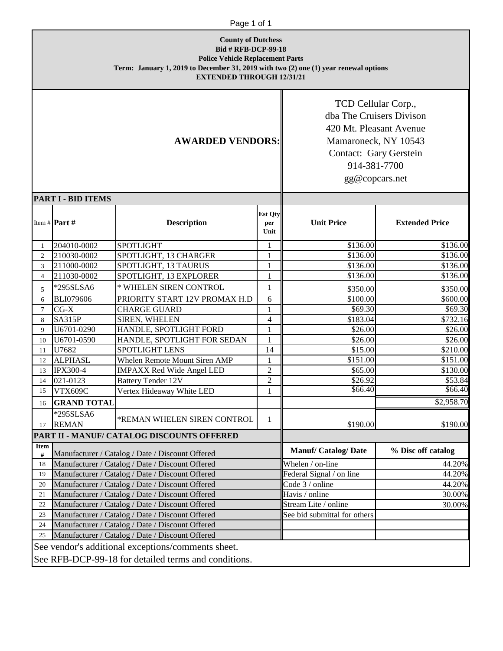| <b>County of Dutchess</b><br><b>Bid # RFB-DCP-99-18</b><br><b>Police Vehicle Replacement Parts</b><br>Term: January 1, 2019 to December 31, 2019 with two (2) one (1) year renewal options<br><b>EXTENDED THROUGH 12/31/21</b> |                                                  |                                                    |                               |                                                                                                                                                                |                       |
|--------------------------------------------------------------------------------------------------------------------------------------------------------------------------------------------------------------------------------|--------------------------------------------------|----------------------------------------------------|-------------------------------|----------------------------------------------------------------------------------------------------------------------------------------------------------------|-----------------------|
| <b>AWARDED VENDORS:</b>                                                                                                                                                                                                        |                                                  |                                                    |                               | TCD Cellular Corp.,<br>dba The Cruisers Divison<br>420 Mt. Pleasant Avenue<br>Mamaroneck, NY 10543<br>Contact: Gary Gerstein<br>914-381-7700<br>gg@copcars.net |                       |
|                                                                                                                                                                                                                                | <b>PART I - BID ITEMS</b>                        |                                                    |                               |                                                                                                                                                                |                       |
|                                                                                                                                                                                                                                | Item # Part #                                    | <b>Description</b>                                 | <b>Est Qty</b><br>per<br>Unit | <b>Unit Price</b>                                                                                                                                              | <b>Extended Price</b> |
| 1                                                                                                                                                                                                                              | 204010-0002                                      | <b>SPOTLIGHT</b>                                   | $\mathbf{1}$                  | \$136.00                                                                                                                                                       | \$136.00              |
| $\overline{2}$                                                                                                                                                                                                                 | 210030-0002                                      | SPOTLIGHT, 13 CHARGER                              | $\mathbf{1}$                  | \$136.00                                                                                                                                                       | \$136.00              |
| 3                                                                                                                                                                                                                              | 211000-0002                                      | SPOTLIGHT, 13 TAURUS                               | 1                             | \$136.00                                                                                                                                                       | \$136.00              |
| $\overline{4}$                                                                                                                                                                                                                 | 211030-0002                                      | SPOTLIGHT, 13 EXPLORER                             | $\mathbf{1}$                  | \$136.00                                                                                                                                                       | \$136.00              |
| 5                                                                                                                                                                                                                              | *295SLSA6                                        | * WHELEN SIREN CONTROL                             | $\mathbf{1}$                  | \$350.00                                                                                                                                                       | \$350.00              |
| 6                                                                                                                                                                                                                              | <b>BLI079606</b>                                 | PRIORITY START 12V PROMAX H.D                      | 6                             | \$100.00                                                                                                                                                       | \$600.00              |
| $\tau$                                                                                                                                                                                                                         | $CG-X$                                           | <b>CHARGE GUARD</b>                                | $\mathbf{1}$                  | \$69.30                                                                                                                                                        | \$69.30               |
| 8                                                                                                                                                                                                                              | <b>SA315P</b>                                    | <b>SIREN, WHELEN</b>                               | $\overline{4}$                | \$183.04                                                                                                                                                       | \$732.16              |
| 9                                                                                                                                                                                                                              | U6701-0290                                       | HANDLE, SPOTLIGHT FORD                             | $\mathbf{1}$                  | \$26.00                                                                                                                                                        | \$26.00               |
| 10                                                                                                                                                                                                                             | U6701-0590                                       | HANDLE, SPOTLIGHT FOR SEDAN                        | 1                             | \$26.00                                                                                                                                                        | \$26.00               |
| 11                                                                                                                                                                                                                             | U7682                                            | <b>SPOTLIGHT LENS</b>                              | 14                            | \$15.00                                                                                                                                                        | \$210.00              |
| 12                                                                                                                                                                                                                             | <b>ALPHASL</b>                                   | Whelen Remote Mount Siren AMP                      | $\mathbf{1}$                  | \$151.00                                                                                                                                                       | \$151.00              |
| 13                                                                                                                                                                                                                             | <b>IPX300-4</b>                                  | <b>IMPAXX Red Wide Angel LED</b>                   | $\mathfrak 2$                 | \$65.00                                                                                                                                                        | \$130.00              |
| 14                                                                                                                                                                                                                             | 021-0123                                         | <b>Battery Tender 12V</b>                          | $\sqrt{2}$                    | \$26.92                                                                                                                                                        | \$53.84               |
| 15                                                                                                                                                                                                                             | <b>VTX609C</b>                                   | Vertex Hideaway White LED                          | $\mathbf{1}$                  | \$66.40                                                                                                                                                        | \$66.40               |
| 16                                                                                                                                                                                                                             | <b>GRAND TOTAL</b>                               |                                                    |                               |                                                                                                                                                                | \$2,958.70            |
|                                                                                                                                                                                                                                | *295SLSA6                                        |                                                    |                               |                                                                                                                                                                |                       |
| 17                                                                                                                                                                                                                             | <b>REMAN</b>                                     | *REMAN WHELEN SIREN CONTROL                        | 1                             | \$190.00                                                                                                                                                       | \$190.00              |
| PART II - MANUF/ CATALOG DISCOUNTS OFFERED                                                                                                                                                                                     |                                                  |                                                    |                               |                                                                                                                                                                |                       |
| <b>Item</b><br>#                                                                                                                                                                                                               | Manufacturer / Catalog / Date / Discount Offered |                                                    |                               | <b>Manuf/Catalog/Date</b>                                                                                                                                      | % Disc off catalog    |
| 18                                                                                                                                                                                                                             | Manufacturer / Catalog / Date / Discount Offered |                                                    | Whelen / on-line              | 44.20%                                                                                                                                                         |                       |
| 19                                                                                                                                                                                                                             | Manufacturer / Catalog / Date / Discount Offered |                                                    |                               | Federal Signal / on line                                                                                                                                       | 44.20%                |
| 20                                                                                                                                                                                                                             | Manufacturer / Catalog / Date / Discount Offered |                                                    |                               | Code 3 / online                                                                                                                                                | 44.20%                |
| 21                                                                                                                                                                                                                             | Manufacturer / Catalog / Date / Discount Offered |                                                    |                               | Havis / online                                                                                                                                                 | 30.00%                |
| 22                                                                                                                                                                                                                             | Manufacturer / Catalog / Date / Discount Offered |                                                    |                               | Stream Lite / online                                                                                                                                           | 30.00%                |
| 23                                                                                                                                                                                                                             | Manufacturer / Catalog / Date / Discount Offered |                                                    |                               | See bid submittal for others                                                                                                                                   |                       |
| 24                                                                                                                                                                                                                             | Manufacturer / Catalog / Date / Discount Offered |                                                    |                               |                                                                                                                                                                |                       |
| 25                                                                                                                                                                                                                             | Manufacturer / Catalog / Date / Discount Offered |                                                    |                               |                                                                                                                                                                |                       |
|                                                                                                                                                                                                                                |                                                  | See vendor's additional exceptions/comments sheet. |                               |                                                                                                                                                                |                       |
| See RFB-DCP-99-18 for detailed terms and conditions.                                                                                                                                                                           |                                                  |                                                    |                               |                                                                                                                                                                |                       |

Page 1 of 1